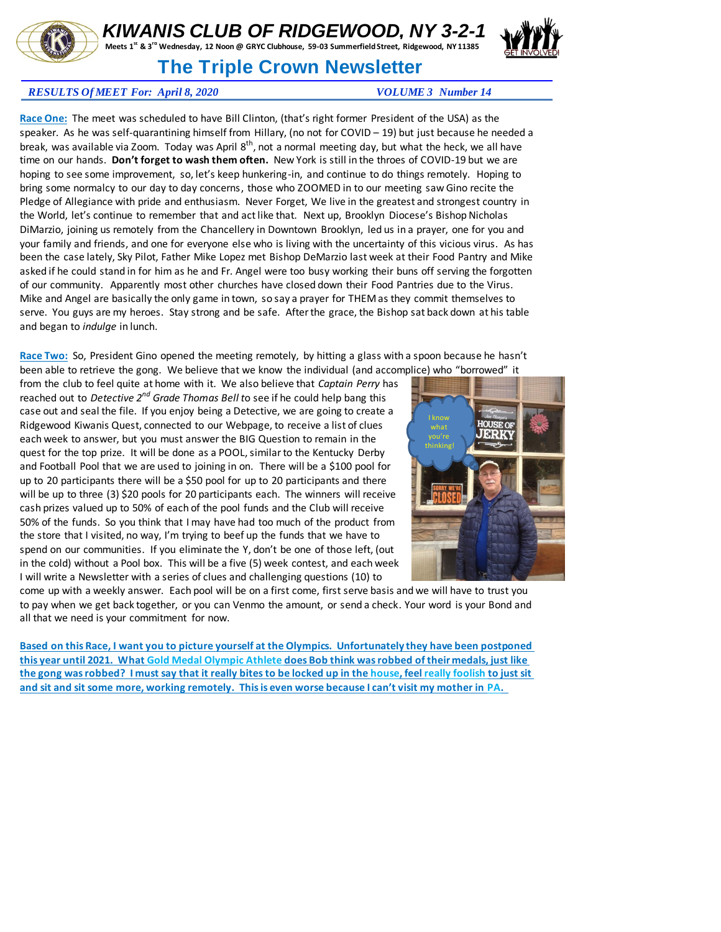

## *KIWANIS CLUB OF RIDGEWOOD, NY 3-2-1*

**Meets 1st & 3rd Wednesday, 12 Noon @ GRYC Clubhouse, 59-03 Summerfield Street, Ridgewood, NY 11385** 

## **The Triple Crown Newsletter**



**Race One:** The meet was scheduled to have Bill Clinton, (that's right former President of the USA) as the speaker. As he was self-quarantining himself from Hillary, (no not for COVID – 19) but just because he needed a break, was available via Zoom. Today was April 8<sup>th</sup>, not a normal meeting day, but what the heck, we all have time on our hands. **Don't forget to wash them often.** New York is still in the throes of COVID-19 but we are hoping to see some improvement, so, let's keep hunkering-in, and continue to do things remotely. Hoping to bring some normalcy to our day to day concerns, those who ZOOMED in to our meeting saw Gino recite the Pledge of Allegiance with pride and enthusiasm. Never Forget, We live in the greatest and strongest country in the World, let's continue to remember that and act like that. Next up, Brooklyn Diocese's Bishop Nicholas DiMarzio, joining us remotely from the Chancellery in Downtown Brooklyn, led us in a prayer, one for you and your family and friends, and one for everyone else who is living with the uncertainty of this vicious virus. As has been the case lately, Sky Pilot, Father Mike Lopez met Bishop DeMarzio last week at their Food Pantry and Mike asked if he could stand in for him as he and Fr. Angel were too busy working their buns off serving the forgotten of our community. Apparently most other churches have closed down their Food Pantries due to the Virus. Mike and Angel are basically the only game in town, so say a prayer for THEM as they commit themselves to serve. You guys are my heroes. Stay strong and be safe. After the grace, the Bishop sat back down at his table and began to *indulge* in lunch.

**Race Two:** So, President Gino opened the meeting remotely, by hitting a glass with a spoon because he hasn't been able to retrieve the gong. We believe that we know the individual (and accomplice) who "borrowed" it

from the club to feel quite at home with it. We also believe that *Captain Perry* has reached out to *Detective 2nd Grade Thomas Bell t*o see if he could help bang this case out and seal the file. If you enjoy being a Detective, we are going to create a Ridgewood Kiwanis Quest, connected to our Webpage, to receive a list of clues each week to answer, but you must answer the BIG Question to remain in the quest for the top prize. It will be done as a POOL, similar to the Kentucky Derby and Football Pool that we are used to joining in on. There will be a \$100 pool for up to 20 participants there will be a \$50 pool for up to 20 participants and there will be up to three (3) \$20 pools for 20 participants each. The winners will receive cash prizes valued up to 50% of each of the pool funds and the Club will receive 50% of the funds. So you think that I may have had too much of the product from the store that I visited, no way, I'm trying to beef up the funds that we have to spend on our communities. If you eliminate the Y, don't be one of those left, (out in the cold) without a Pool box. This will be a five (5) week contest, and each week I will write a Newsletter with a series of clues and challenging questions (10) to



come up with a weekly answer. Each pool will be on a first come, first serve basis and we will have to trust you to pay when we get back together, or you can Venmo the amount, or send a check. Your word is your Bond and all that we need is your commitment for now.

**Based on this Race, I want you to picture yourself at the Olympics. Unfortunately they have been postponed this year until 2021. What Gold Medal Olympic Athlete does Bob think was robbed of their medals, just like the gong was robbed? I must say that it really bites to be locked up in the house, feel really foolish to just sit and sit and sit some more, working remotely. This is even worse because I can't visit my mother in PA.**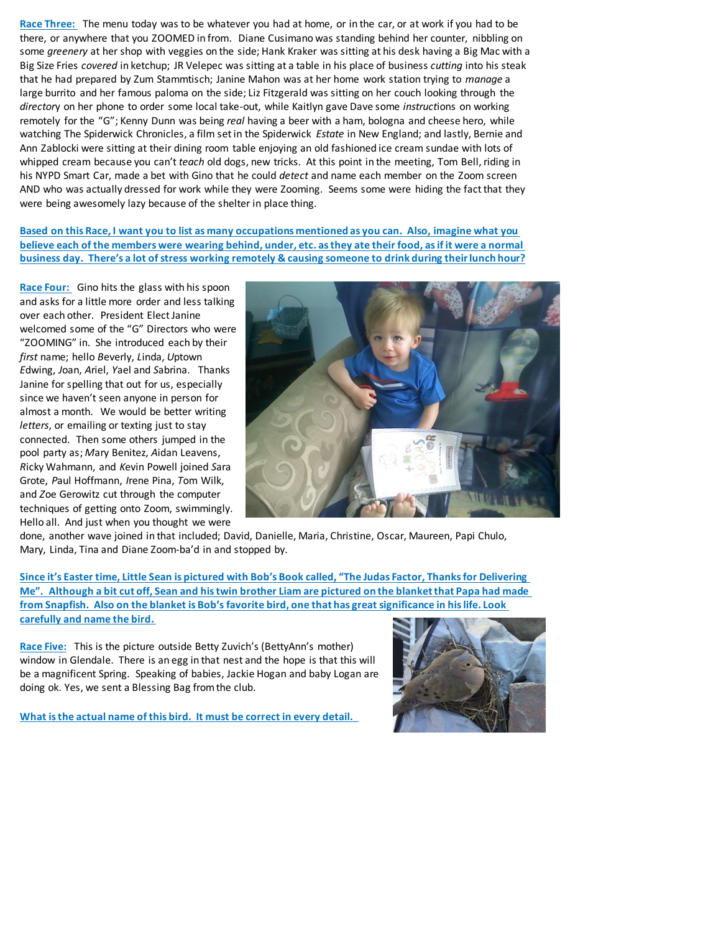**Race Three:** The menu today was to be whatever you had at home, or in the car, or at work if you had to be there, or anywhere that you ZOOMED in from. Diane Cusimano was standing behind her counter, nibbling on some *greenery* at her shop with veggies on the side; Hank Kraker was sitting at his desk having a Big Mac with a Big Size Fries *covered* in ketchup; JR Velepec was sitting at a table in his place of business *cutting* into his steak that he had prepared by Zum Stammtisch; Janine Mahon was at her home work station trying to *manage* a large burrito and her famous paloma on the side; Liz Fitzgerald was sitting on her couch looking through the *director*y on her phone to order some local take-out, while Kaitlyn gave Dave some *instruct*ions on working remotely for the "G"; Kenny Dunn was being *real* having a beer with a ham, bologna and cheese hero, while watching The Spiderwick Chronicles, a film set in the Spiderwick *Estate* in New England; and lastly, Bernie and Ann Zablocki were sitting at their dining room table enjoying an old fashioned ice cream sundae with lots of whipped cream because you can't *teach* old dogs, new tricks. At this point in the meeting, Tom Bell, riding in his NYPD Smart Car, made a bet with Gino that he could *detect* and name each member on the Zoom screen AND who was actually dressed for work while they were Zooming. Seems some were hiding the fact that they were being awesomely lazy because of the shelter in place thing.

**Based on this Race, I want you to list as many occupations mentioned as you can. Also, imagine what you believe each of the members were wearing behind, under, etc. as they ate their food, as if it were a normal business day. There's a lot of stress working remotely & causing someone to drink during their lunch hour?**

**Race Four:** Gino hits the glass with his spoon and asks for a little more order and less talking over each other. President Elect Janine welcomed some of the "G" Directors who were "ZOOMING" in. She introduced each by their *first* name; hello *B*everly, *L*inda, *U*ptown *E*dwing, *J*oan, *A*riel, *Y*ael and *S*abrina. Thanks Janine for spelling that out for us, especially since we haven't seen anyone in person for almost a month. We would be better writing *letters*, or emailing or texting just to stay connected. Then some others jumped in the pool party as; *M*ary Benitez, *A*idan Leavens, *R*icky Wahmann, and *K*evin Powell joined *S*ara Grote, *P*aul Hoffmann, *I*rene Pina, *T*om Wilk, and *Z*oe Gerowitz cut through the computer techniques of getting onto Zoom, swimmingly. Hello all. And just when you thought we were



done, another wave joined in that included; David, Danielle, Maria, Christine, Oscar, Maureen, Papi Chulo, Mary, Linda, Tina and Diane Zoom-ba'd in and stopped by.

**Since it's Easter time, Little Sean is pictured with Bob's Book called, "The Judas Factor, Thanks for Delivering Me". Although a bit cut off, Sean and his twin brother Liam are pictured on the blanket that Papa had made from Snapfish. Also on the blanket is Bob's favorite bird, one that has great significance in his life. Look carefully and name the bird.** 

**Race Five:** This is the picture outside Betty Zuvich's (BettyAnn's mother) window in Glendale. There is an egg in that nest and the hope is that this will be a magnificent Spring. Speaking of babies, Jackie Hogan and baby Logan are doing ok. Yes, we sent a Blessing Bag from the club.

**What is the actual name of this bird. It must be correct in every detail.**